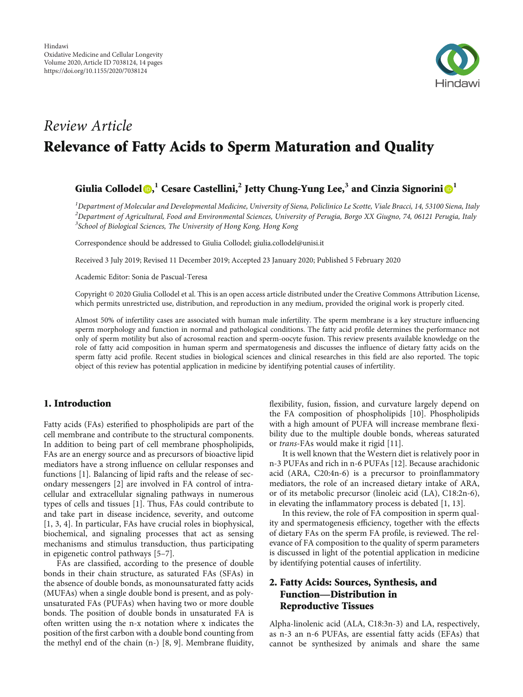

# Review Article Relevance of Fatty Acids to Sperm Maturation and Quality

## Giulia Collodel **D**,  $^1$  $^1$  Cesare Castellini, $^2$  Jetty Chung-Yung Lee, $^3$  and Cinzia Signorini  $\blacksquare^1$

 $^1$ Department of Molecular and Developmental Medicine, University of Siena, Policlinico Le Scotte, Viale Bracci, 14, 53100 Siena, Italy  $^2$ Department of Agricultural, Food and Environmental Sciences, University of Perugia, Borgo XX Giugno, 74, 06121 Perugia, Italy <sup>3</sup>School of Biological Sciences, The University of Hong Kong, Hong Kong

Correspondence should be addressed to Giulia Collodel; giulia.collodel@unisi.it

Received 3 July 2019; Revised 11 December 2019; Accepted 23 January 2020; Published 5 February 2020

Academic Editor: Sonia de Pascual-Teresa

Copyright © 2020 Giulia Collodel et al. This is an open access article distributed under the [Creative Commons Attribution License](https://creativecommons.org/licenses/by/4.0/), which permits unrestricted use, distribution, and reproduction in any medium, provided the original work is properly cited.

Almost 50% of infertility cases are associated with human male infertility. The sperm membrane is a key structure influencing sperm morphology and function in normal and pathological conditions. The fatty acid profile determines the performance not only of sperm motility but also of acrosomal reaction and sperm-oocyte fusion. This review presents available knowledge on the role of fatty acid composition in human sperm and spermatogenesis and discusses the influence of dietary fatty acids on the sperm fatty acid profile. Recent studies in biological sciences and clinical researches in this field are also reported. The topic object of this review has potential application in medicine by identifying potential causes of infertility.

## 1. Introduction

Fatty acids (FAs) esterified to phospholipids are part of the cell membrane and contribute to the structural components. In addition to being part of cell membrane phospholipids, FAs are an energy source and as precursors of bioactive lipid mediators have a strong influence on cellular responses and functions [[1\]](#page-9-0). Balancing of lipid rafts and the release of secondary messengers [[2](#page-9-0)] are involved in FA control of intracellular and extracellular signaling pathways in numerous types of cells and tissues [\[1](#page-9-0)]. Thus, FAs could contribute to and take part in disease incidence, severity, and outcome [\[1](#page-9-0), [3](#page-9-0), [4\]](#page-9-0). In particular, FAs have crucial roles in biophysical, biochemical, and signaling processes that act as sensing mechanisms and stimulus transduction, thus participating in epigenetic control pathways [[5](#page-9-0)–[7](#page-9-0)].

FAs are classified, according to the presence of double bonds in their chain structure, as saturated FAs (SFAs) in the absence of double bonds, as monounsaturated fatty acids (MUFAs) when a single double bond is present, and as polyunsaturated FAs (PUFAs) when having two or more double bonds. The position of double bonds in unsaturated FA is often written using the n-x notation where x indicates the position of the first carbon with a double bond counting from the methyl end of the chain (n-) [\[8](#page-9-0), [9](#page-9-0)]. Membrane fluidity, flexibility, fusion, fission, and curvature largely depend on the FA composition of phospholipids [\[10](#page-9-0)]. Phospholipids with a high amount of PUFA will increase membrane flexibility due to the multiple double bonds, whereas saturated or trans-FAs would make it rigid [\[11\]](#page-9-0).

It is well known that the Western diet is relatively poor in n-3 PUFAs and rich in n-6 PUFAs [[12](#page-9-0)]. Because arachidonic acid (ARA, C20:4n-6) is a precursor to proinflammatory mediators, the role of an increased dietary intake of ARA, or of its metabolic precursor (linoleic acid (LA), C18:2n-6), in elevating the inflammatory process is debated [[1, 13](#page-9-0)].

In this review, the role of FA composition in sperm quality and spermatogenesis efficiency, together with the effects of dietary FAs on the sperm FA profile, is reviewed. The relevance of FA composition to the quality of sperm parameters is discussed in light of the potential application in medicine by identifying potential causes of infertility.

## 2. Fatty Acids: Sources, Synthesis, and Function—Distribution in Reproductive Tissues

Alpha-linolenic acid (ALA, C18:3n-3) and LA, respectively, as n-3 an n-6 PUFAs, are essential fatty acids (EFAs) that cannot be synthesized by animals and share the same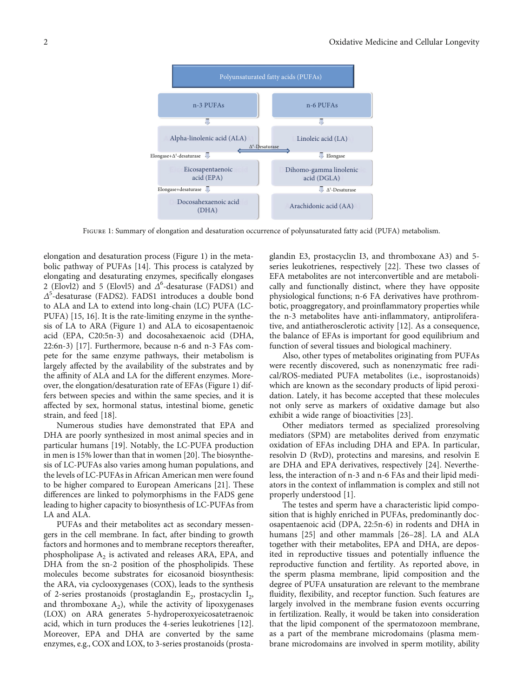<span id="page-1-0"></span>

FIGURE 1: Summary of elongation and desaturation occurrence of polyunsaturated fatty acid (PUFA) metabolism.

elongation and desaturation process (Figure 1) in the metabolic pathway of PUFAs [[14](#page-9-0)]. This process is catalyzed by elongating and desaturating enzymes, specifically elongases 2 (Elovl2) and 5 (Elovl5) and *Δ*<sup>6</sup> -desaturase (FADS1) and *Δ*5 -desaturase (FADS2). FADS1 introduces a double bond to ALA and LA to extend into long-chain (LC) PUFA (LC-PUFA) [\[15](#page-9-0), [16](#page-9-0)]. It is the rate-limiting enzyme in the synthesis of LA to ARA (Figure 1) and ALA to eicosapentaenoic acid (EPA, C20:5n-3) and docosahexaenoic acid (DHA, 22:6n-3) [\[17\]](#page-9-0). Furthermore, because n-6 and n-3 FAs compete for the same enzyme pathways, their metabolism is largely affected by the availability of the substrates and by the affinity of ALA and LA for the different enzymes. Moreover, the elongation/desaturation rate of EFAs (Figure 1) differs between species and within the same species, and it is affected by sex, hormonal status, intestinal biome, genetic strain, and feed [[18](#page-9-0)].

Numerous studies have demonstrated that EPA and DHA are poorly synthesized in most animal species and in particular humans [[19\]](#page-9-0). Notably, the LC-PUFA production in men is 15% lower than that in women [[20](#page-10-0)]. The biosynthesis of LC-PUFAs also varies among human populations, and the levels of LC-PUFAs in African American men were found to be higher compared to European Americans [\[21\]](#page-10-0). These differences are linked to polymorphisms in the FADS gene leading to higher capacity to biosynthesis of LC-PUFAs from LA and ALA.

PUFAs and their metabolites act as secondary messengers in the cell membrane. In fact, after binding to growth factors and hormones and to membrane receptors thereafter, phospholipase  $A_2$  is activated and releases ARA, EPA, and DHA from the sn-2 position of the phospholipids. These molecules become substrates for eicosanoid biosynthesis: the ARA, via cyclooxygenases (COX), leads to the synthesis of 2-series prostanoids (prostaglandin  $E_2$ , prostacyclin  $I_2$ , and thromboxane  $A_2$ ), while the activity of lipoxygenases (LOX) on ARA generates 5-hydroperoxyeicosatetraenoic acid, which in turn produces the 4-series leukotrienes [[12](#page-9-0)]. Moreover, EPA and DHA are converted by the same enzymes, e.g., COX and LOX, to 3-series prostanoids (prostaglandin E3, prostacyclin I3, and thromboxane A3) and 5 series leukotrienes, respectively [[22](#page-10-0)]. These two classes of EFA metabolites are not interconvertible and are metabolically and functionally distinct, where they have opposite physiological functions; n-6 FA derivatives have prothrombotic, proaggregatory, and proinflammatory properties while the n-3 metabolites have anti-inflammatory, antiproliferative, and antiatherosclerotic activity [\[12](#page-9-0)]. As a consequence, the balance of EFAs is important for good equilibrium and function of several tissues and biological machinery.

Also, other types of metabolites originating from PUFAs were recently discovered, such as nonenzymatic free radical/ROS-mediated PUFA metabolites (i.e., isoprostanoids) which are known as the secondary products of lipid peroxidation. Lately, it has become accepted that these molecules not only serve as markers of oxidative damage but also exhibit a wide range of bioactivities [[23](#page-10-0)].

Other mediators termed as specialized proresolving mediators (SPM) are metabolites derived from enzymatic oxidation of EFAs including DHA and EPA. In particular, resolvin D (RvD), protectins and maresins, and resolvin E are DHA and EPA derivatives, respectively [\[24\]](#page-10-0). Nevertheless, the interaction of n-3 and n-6 FAs and their lipid mediators in the context of inflammation is complex and still not properly understood [\[1](#page-9-0)].

The testes and sperm have a characteristic lipid composition that is highly enriched in PUFAs, predominantly docosapentaenoic acid (DPA, 22:5n-6) in rodents and DHA in humans [\[25\]](#page-10-0) and other mammals [[26](#page-10-0)–[28](#page-10-0)]. LA and ALA together with their metabolites, EPA and DHA, are deposited in reproductive tissues and potentially influence the reproductive function and fertility. As reported above, in the sperm plasma membrane, lipid composition and the degree of PUFA unsaturation are relevant to the membrane fluidity, flexibility, and receptor function. Such features are largely involved in the membrane fusion events occurring in fertilization. Really, it would be taken into consideration that the lipid component of the spermatozoon membrane, as a part of the membrane microdomains (plasma membrane microdomains are involved in sperm motility, ability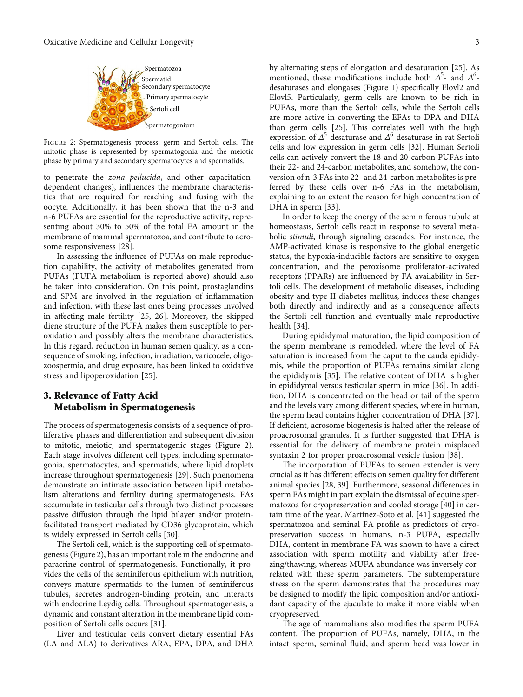

Figure 2: Spermatogenesis process: germ and Sertoli cells. The mitotic phase is represented by spermatogonia and the meiotic phase by primary and secondary spermatocytes and spermatids.

to penetrate the zona pellucida, and other capacitationdependent changes), influences the membrane characteristics that are required for reaching and fusing with the oocyte. Additionally, it has been shown that the n-3 and n-6 PUFAs are essential for the reproductive activity, representing about 30% to 50% of the total FA amount in the membrane of mammal spermatozoa, and contribute to acrosome responsiveness [[28](#page-10-0)].

In assessing the influence of PUFAs on male reproduction capability, the activity of metabolites generated from PUFAs (PUFA metabolism is reported above) should also be taken into consideration. On this point, prostaglandins and SPM are involved in the regulation of inflammation and infection, with these last ones being processes involved in affecting male fertility [\[25, 26](#page-10-0)]. Moreover, the skipped diene structure of the PUFA makes them susceptible to peroxidation and possibly alters the membrane characteristics. In this regard, reduction in human semen quality, as a consequence of smoking, infection, irradiation, varicocele, oligozoospermia, and drug exposure, has been linked to oxidative stress and lipoperoxidation [[25](#page-10-0)].

## 3. Relevance of Fatty Acid Metabolism in Spermatogenesis

The process of spermatogenesis consists of a sequence of proliferative phases and differentiation and subsequent division to mitotic, meiotic, and spermatogenic stages (Figure 2). Each stage involves different cell types, including spermatogonia, spermatocytes, and spermatids, where lipid droplets increase throughout spermatogenesis [\[29\]](#page-10-0). Such phenomena demonstrate an intimate association between lipid metabolism alterations and fertility during spermatogenesis. FAs accumulate in testicular cells through two distinct processes: passive diffusion through the lipid bilayer and/or proteinfacilitated transport mediated by CD36 glycoprotein, which is widely expressed in Sertoli cells [\[30\]](#page-10-0).

The Sertoli cell, which is the supporting cell of spermatogenesis (Figure 2), has an important role in the endocrine and paracrine control of spermatogenesis. Functionally, it provides the cells of the seminiferous epithelium with nutrition, conveys mature spermatids to the lumen of seminiferous tubules, secretes androgen-binding protein, and interacts with endocrine Leydig cells. Throughout spermatogenesis, a dynamic and constant alteration in the membrane lipid composition of Sertoli cells occurs [[31](#page-10-0)].

Liver and testicular cells convert dietary essential FAs (LA and ALA) to derivatives ARA, EPA, DPA, and DHA by alternating steps of elongation and desaturation [\[25\]](#page-10-0). As mentioned, these modifications include both  $Δ^5$ - and  $Δ^6$ desaturases and elongases (Figure [1](#page-1-0)) specifically Elovl2 and Elovl5. Particularly, germ cells are known to be rich in PUFAs, more than the Sertoli cells, while the Sertoli cells are more active in converting the EFAs to DPA and DHA than germ cells [[25](#page-10-0)]. This correlates well with the high expression of *Δ*<sup>5</sup> -desaturase and *Δ*<sup>6</sup> -desaturase in rat Sertoli cells and low expression in germ cells [\[32\]](#page-10-0). Human Sertoli cells can actively convert the 18-and 20-carbon PUFAs into their 22- and 24-carbon metabolites, and somehow, the conversion of n-3 FAs into 22- and 24-carbon metabolites is preferred by these cells over n-6 FAs in the metabolism, explaining to an extent the reason for high concentration of DHA in sperm [\[33\]](#page-10-0).

In order to keep the energy of the seminiferous tubule at homeostasis, Sertoli cells react in response to several metabolic stimuli, through signaling cascades. For instance, the AMP-activated kinase is responsive to the global energetic status, the hypoxia-inducible factors are sensitive to oxygen concentration, and the peroxisome proliferator-activated receptors (PPARs) are influenced by FA availability in Sertoli cells. The development of metabolic diseases, including obesity and type II diabetes mellitus, induces these changes both directly and indirectly and as a consequence affects the Sertoli cell function and eventually male reproductive health [\[34\]](#page-10-0).

During epididymal maturation, the lipid composition of the sperm membrane is remodeled, where the level of FA saturation is increased from the caput to the cauda epididymis, while the proportion of PUFAs remains similar along the epididymis [\[35](#page-10-0)]. The relative content of DHA is higher in epididymal versus testicular sperm in mice [\[36\]](#page-10-0). In addition, DHA is concentrated on the head or tail of the sperm and the levels vary among different species, where in human, the sperm head contains higher concentration of DHA [[37](#page-10-0)]. If deficient, acrosome biogenesis is halted after the release of proacrosomal granules. It is further suggested that DHA is essential for the delivery of membrane protein misplaced syntaxin 2 for proper proacrosomal vesicle fusion [[38](#page-10-0)].

The incorporation of PUFAs to semen extender is very crucial as it has different effects on semen quality for different animal species [[28](#page-10-0), [39\]](#page-10-0). Furthermore, seasonal differences in sperm FAs might in part explain the dismissal of equine spermatozoa for cryopreservation and cooled storage [[40](#page-10-0)] in certain time of the year. Martínez-Soto et al. [[41](#page-10-0)] suggested the spermatozoa and seminal FA profile as predictors of cryopreservation success in humans. n-3 PUFA, especially DHA, content in membrane FA was shown to have a direct association with sperm motility and viability after freezing/thawing, whereas MUFA abundance was inversely correlated with these sperm parameters. The subtemperature stress on the sperm demonstrates that the procedures may be designed to modify the lipid composition and/or antioxidant capacity of the ejaculate to make it more viable when cryopreserved.

The age of mammalians also modifies the sperm PUFA content. The proportion of PUFAs, namely, DHA, in the intact sperm, seminal fluid, and sperm head was lower in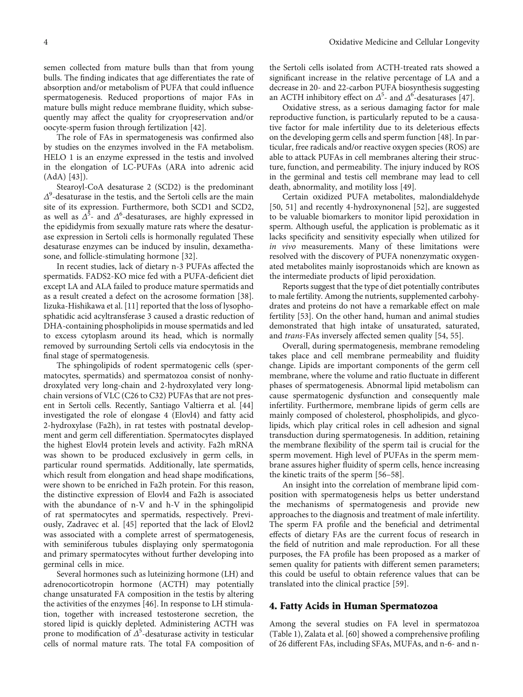semen collected from mature bulls than that from young bulls. The finding indicates that age differentiates the rate of absorption and/or metabolism of PUFA that could influence spermatogenesis. Reduced proportions of major FAs in mature bulls might reduce membrane fluidity, which subsequently may affect the quality for cryopreservation and/or oocyte-sperm fusion through fertilization [[42](#page-10-0)].

The role of FAs in spermatogenesis was confirmed also by studies on the enzymes involved in the FA metabolism. HELO 1 is an enzyme expressed in the testis and involved in the elongation of LC-PUFAs (ARA into adrenic acid (AdA) [[43\]](#page-10-0)).

Stearoyl-CoA desaturase 2 (SCD2) is the predominant *Δ*9 -desaturase in the testis, and the Sertoli cells are the main site of its expression. Furthermore, both SCD1 and SCD2, as well as *Δ*<sup>5</sup> - and *Δ*<sup>6</sup> -desaturases, are highly expressed in the epididymis from sexually mature rats where the desaturase expression in Sertoli cells is hormonally regulated These desaturase enzymes can be induced by insulin, dexamethasone, and follicle-stimulating hormone [\[32](#page-10-0)].

In recent studies, lack of dietary n-3 PUFAs affected the spermatids. FADS2-KO mice fed with a PUFA-deficient diet except LA and ALA failed to produce mature spermatids and as a result created a defect on the acrosome formation [[38](#page-10-0)]. Iizuka-Hishikawa et al. [\[11\]](#page-9-0) reported that the loss of lysophosphatidic acid acyltransferase 3 caused a drastic reduction of DHA-containing phospholipids in mouse spermatids and led to excess cytoplasm around its head, which is normally removed by surrounding Sertoli cells via endocytosis in the final stage of spermatogenesis.

The sphingolipids of rodent spermatogenic cells (spermatocytes, spermatids) and spermatozoa consist of nonhydroxylated very long-chain and 2-hydroxylated very longchain versions of VLC (C26 to C32) PUFAs that are not present in Sertoli cells. Recently, Santiago Valtierra et al. [[44\]](#page-10-0) investigated the role of elongase 4 (Elovl4) and fatty acid 2-hydroxylase (Fa2h), in rat testes with postnatal development and germ cell differentiation. Spermatocytes displayed the highest Elovl4 protein levels and activity. Fa2h mRNA was shown to be produced exclusively in germ cells, in particular round spermatids. Additionally, late spermatids, which result from elongation and head shape modifications, were shown to be enriched in Fa2h protein. For this reason, the distinctive expression of Elovl4 and Fa2h is associated with the abundance of n-V and h-V in the sphingolipid of rat spermatocytes and spermatids, respectively. Previously, Zadravec et al. [\[45\]](#page-10-0) reported that the lack of Elovl2 was associated with a complete arrest of spermatogenesis, with seminiferous tubules displaying only spermatogonia and primary spermatocytes without further developing into germinal cells in mice.

Several hormones such as luteinizing hormone (LH) and adrenocorticotropin hormone (ACTH) may potentially change unsaturated FA composition in the testis by altering the activities of the enzymes [[46](#page-10-0)]. In response to LH stimulation, together with increased testosterone secretion, the stored lipid is quickly depleted. Administering ACTH was prone to modification of *Δ*<sup>5</sup> -desaturase activity in testicular cells of normal mature rats. The total FA composition of

the Sertoli cells isolated from ACTH-treated rats showed a significant increase in the relative percentage of LA and a decrease in 20- and 22-carbon PUFA biosynthesis suggesting an ACTH inhibitory effect on  $\Delta^5$ - and  $\Delta^6$ -desaturases [[47](#page-10-0)].

Oxidative stress, as a serious damaging factor for male reproductive function, is particularly reputed to be a causative factor for male infertility due to its deleterious effects on the developing germ cells and sperm function [\[48\]](#page-10-0). In particular, free radicals and/or reactive oxygen species (ROS) are able to attack PUFAs in cell membranes altering their structure, function, and permeability. The injury induced by ROS in the germinal and testis cell membrane may lead to cell death, abnormality, and motility loss [\[49](#page-10-0)].

Certain oxidized PUFA metabolites, malondialdehyde [\[50, 51](#page-11-0)] and recently 4-hydroxynonenal [[52](#page-11-0)], are suggested to be valuable biomarkers to monitor lipid peroxidation in sperm. Although useful, the application is problematic as it lacks specificity and sensitivity especially when utilized for in vivo measurements. Many of these limitations were resolved with the discovery of PUFA nonenzymatic oxygenated metabolites mainly isoprostanoids which are known as the intermediate products of lipid peroxidation.

Reports suggest that the type of diet potentially contributes to male fertility. Among the nutrients, supplemented carbohydrates and proteins do not have a remarkable effect on male fertility [\[53\]](#page-11-0). On the other hand, human and animal studies demonstrated that high intake of unsaturated, saturated, and trans-FAs inversely affected semen quality [\[54, 55](#page-11-0)].

Overall, during spermatogenesis, membrane remodeling takes place and cell membrane permeability and fluidity change. Lipids are important components of the germ cell membrane, where the volume and ratio fluctuate in different phases of spermatogenesis. Abnormal lipid metabolism can cause spermatogenic dysfunction and consequently male infertility. Furthermore, membrane lipids of germ cells are mainly composed of cholesterol, phospholipids, and glycolipids, which play critical roles in cell adhesion and signal transduction during spermatogenesis. In addition, retaining the membrane flexibility of the sperm tail is crucial for the sperm movement. High level of PUFAs in the sperm membrane assures higher fluidity of sperm cells, hence increasing the kinetic traits of the sperm [[56](#page-11-0)–[58\]](#page-11-0).

An insight into the correlation of membrane lipid composition with spermatogenesis helps us better understand the mechanisms of spermatogenesis and provide new approaches to the diagnosis and treatment of male infertility. The sperm FA profile and the beneficial and detrimental effects of dietary FAs are the current focus of research in the field of nutrition and male reproduction. For all these purposes, the FA profile has been proposed as a marker of semen quality for patients with different semen parameters; this could be useful to obtain reference values that can be translated into the clinical practice [[59](#page-11-0)].

#### 4. Fatty Acids in Human Spermatozoa

Among the several studies on FA level in spermatozoa (Table [1\)](#page-4-0), Zalata et al. [[60](#page-11-0)] showed a comprehensive profiling of 26 different FAs, including SFAs, MUFAs, and n-6- and n-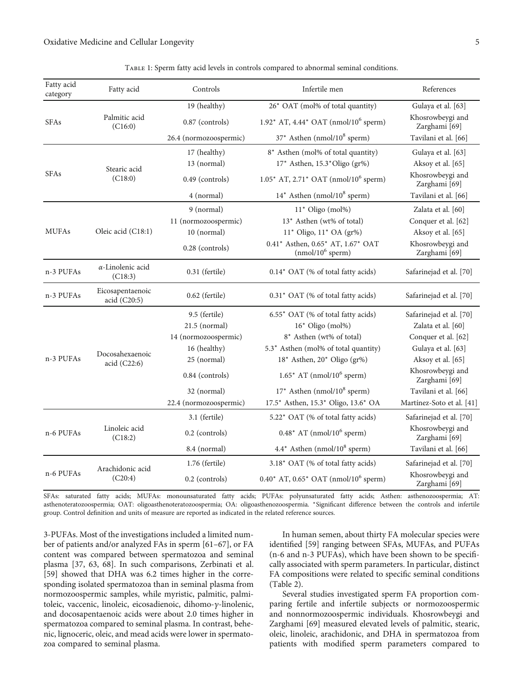|  |  |  | TABLE 1: Sperm fatty acid levels in controls compared to abnormal seminal conditions. |  |  |  |
|--|--|--|---------------------------------------------------------------------------------------|--|--|--|
|  |  |  |                                                                                       |  |  |  |

<span id="page-4-0"></span>

| Fatty acid<br>category | Fatty acid                          | Controls                                        | Infertile men                                                   | References                                   |  |
|------------------------|-------------------------------------|-------------------------------------------------|-----------------------------------------------------------------|----------------------------------------------|--|
|                        |                                     | 19 (healthy)                                    | 26* OAT (mol% of total quantity)                                | Gulaya et al. [63]                           |  |
| <b>SFAs</b>            | Palmitic acid<br>(C16:0)            | 0.87 (controls)                                 | $1.92^*$ AT, 4.44* OAT (nmol/10 <sup>6</sup> sperm)             | Khosrowbeygi and<br>Zarghami <sup>[69]</sup> |  |
|                        |                                     | 26.4 (normozoospermic)                          | 37* Asthen (nmol/10 <sup>8</sup> sperm)                         | Tavilani et al. [66]                         |  |
|                        |                                     | 17 (healthy)                                    | 8* Asthen (mol% of total quantity)                              | Gulaya et al. [63]                           |  |
|                        | Stearic acid                        | 13 (normal)                                     | 17* Asthen, 15.3* Oligo (gr%)                                   | Aksoy et al. [65]                            |  |
| <b>SFAs</b>            | (C18:0)                             | 0.49 (controls)                                 | $1.05^*$ AT, 2.71 <sup>*</sup> OAT (nmol/10 <sup>6</sup> sperm) | Khosrowbeygi and<br>Zarghami <sup>[69]</sup> |  |
|                        |                                     | $14*$ Asthen (nmol/ $108$ sperm)<br>4 (normal)  |                                                                 | Tavilani et al. [66]                         |  |
|                        |                                     | 9 (normal)                                      | 11* Oligo (mol%)                                                | Zalata et al. [60]                           |  |
|                        |                                     | 11 (normozoospermic)                            | 13* Asthen (wt% of total)                                       | Conquer et al. [62]                          |  |
| <b>MUFAs</b>           | Oleic acid (C18:1)                  | 10 (normal)<br>$11^*$ Oligo, $11^*$ OA (gr%)    |                                                                 | Aksoy et al. [65]                            |  |
|                        |                                     | 0.28 (controls)                                 | 0.41* Asthen, 0.65* AT, 1.67* OAT<br>$(mmol/10^6$ sperm)        | Khosrowbeygi and<br>Zarghami <sup>[69]</sup> |  |
| n-3 PUFAs              | $\alpha$ -Linolenic acid<br>(C18:3) | $0.31$ (fertile)                                | 0.14* OAT (% of total fatty acids)                              | Safarinejad et al. [70]                      |  |
| n-3 PUFAs              | Eicosapentaenoic<br>acid (C20:5)    | $0.62$ (fertile)                                | 0.31* OAT (% of total fatty acids)                              | Safarinejad et al. [70]                      |  |
|                        |                                     | 9.5 (fertile)                                   | 6.55* OAT (% of total fatty acids)                              | Safarinejad et al. [70]                      |  |
|                        |                                     | $21.5$ (normal)                                 | 16* Oligo (mol%)                                                | Zalata et al. [60]                           |  |
|                        |                                     | 14 (normozoospermic)                            | 8* Asthen (wt% of total)                                        | Conquer et al. [62]                          |  |
|                        |                                     | 16 (healthy)                                    | 5.3* Asthen (mol% of total quantity)                            | Gulaya et al. [63]                           |  |
| n-3 PUFAs              | Docosahexaenoic<br>acid (C22:6)     | 25 (normal)                                     | 18* Asthen, 20* Oligo (gr%)                                     | Aksoy et al. [65]                            |  |
|                        |                                     | 0.84 (controls)                                 | $1.65^*$ AT (nmol/10 <sup>6</sup> sperm)                        | Khosrowbeygi and<br>Zarghami <sup>[69]</sup> |  |
|                        |                                     | $17*$ Asthen (nmol/ $108$ sperm)<br>32 (normal) |                                                                 | Tavilani et al. [66]                         |  |
|                        |                                     | 22.4 (normozoospermic)                          | 17.5* Asthen, 15.3* Oligo, 13.6* OA                             | Martínez-Soto et al. [41]                    |  |
|                        |                                     | 3.1 (fertile)                                   | 5.22* OAT (% of total fatty acids)                              | Safarinejad et al. [70]                      |  |
| n-6 PUFAs              | Linoleic acid<br>(C18:2)            | 0.2 (controls)                                  | $0.48^*$ AT (nmol/10 <sup>6</sup> sperm)                        | Khosrowbeygi and<br>Zarghami <sup>[69]</sup> |  |
|                        |                                     | 8.4 (normal)                                    | 4.4* Asthen (nmol/10 <sup>8</sup> sperm)                        | Tavilani et al. [66]                         |  |
|                        |                                     | 1.76 (fertile)                                  | 3.18* OAT (% of total fatty acids)                              | Safarinejad et al. [70]                      |  |
| n-6 PUFAs              | Arachidonic acid<br>(C20:4)         | 0.2 (controls)                                  | $0.40^*$ AT, $0.65^*$ OAT (nmol/10 <sup>6</sup> sperm)          | Khosrowbeygi and<br>Zarghami <sup>[69]</sup> |  |

SFAs: saturated fatty acids; MUFAs: monounsaturated fatty acids; PUFAs: polyunsaturated fatty acids; Asthen: asthenozoospermia; AT: asthenoteratozoospermia; OAT: oligoasthenoteratozoospermia; OA: oligoasthenozoospermia. <sup>∗</sup>Significant difference between the controls and infertile group. Control definition and units of measure are reported as indicated in the related reference sources.

3-PUFAs. Most of the investigations included a limited number of patients and/or analyzed FAs in sperm [\[61](#page-11-0)–[67\]](#page-11-0), or FA content was compared between spermatozoa and seminal plasma [[37](#page-10-0), [63](#page-11-0), [68](#page-11-0)]. In such comparisons, Zerbinati et al. [\[59](#page-11-0)] showed that DHA was 6.2 times higher in the corresponding isolated spermatozoa than in seminal plasma from normozoospermic samples, while myristic, palmitic, palmitoleic, vaccenic, linoleic, eicosadienoic, dihomo-*γ*-linolenic, and docosapentaenoic acids were about 2.0 times higher in spermatozoa compared to seminal plasma. In contrast, behenic, lignoceric, oleic, and mead acids were lower in spermatozoa compared to seminal plasma.

In human semen, about thirty FA molecular species were identified [\[59](#page-11-0)] ranging between SFAs, MUFAs, and PUFAs (n-6 and n-3 PUFAs), which have been shown to be specifically associated with sperm parameters. In particular, distinct FA compositions were related to specific seminal conditions (Table [2](#page-5-0)).

Several studies investigated sperm FA proportion comparing fertile and infertile subjects or normozoospermic and nonnormozoospermic individuals. Khosrowbeygi and Zarghami [[69](#page-11-0)] measured elevated levels of palmitic, stearic, oleic, linoleic, arachidonic, and DHA in spermatozoa from patients with modified sperm parameters compared to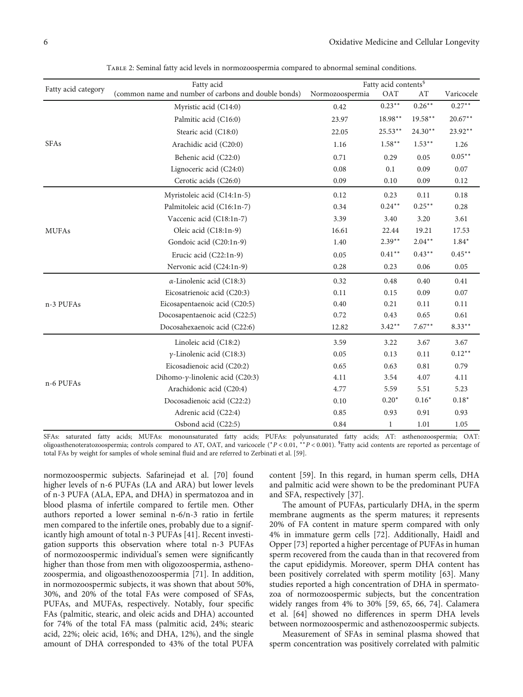<span id="page-5-0"></span>

|                     | Fatty acid                                           | Fatty acid contents <sup>§</sup> |              |           |            |  |
|---------------------|------------------------------------------------------|----------------------------------|--------------|-----------|------------|--|
| Fatty acid category | (common name and number of carbons and double bonds) | Normozoospermia                  | OAT          | AT        | Varicocele |  |
|                     | Myristic acid (C14:0)                                | 0.42                             | $0.23***$    | $0.26***$ | $0.27**$   |  |
|                     | Palmitic acid (C16:0)                                | 23.97                            | 18.98**      | 19.58**   | $20.67**$  |  |
|                     | Stearic acid (C18:0)                                 | 22.05                            | $25.53**$    | $24.30**$ | 23.92**    |  |
| <b>SFAs</b>         | Arachidic acid (C20:0)                               | 1.16                             | $1.58***$    | $1.53***$ | 1.26       |  |
|                     | Behenic acid (C22:0)                                 | 0.71                             | 0.29         | 0.05      | $0.05***$  |  |
|                     | Lignoceric acid (C24:0)                              | 0.08                             | 0.1          | 0.09      | 0.07       |  |
|                     | Cerotic acids (C26:0)                                | 0.09                             | 0.10         | 0.09      | 0.12       |  |
|                     | Myristoleic acid (C14:1n-5)                          | 0.12                             | 0.23         | 0.11      | 0.18       |  |
|                     | Palmitoleic acid (C16:1n-7)                          | 0.34                             | $0.24***$    | $0.25***$ | 0.28       |  |
|                     | Vaccenic acid (C18:1n-7)                             | 3.39                             | 3.40         | 3.20      | 3.61       |  |
| <b>MUFAs</b>        | Oleic acid (C18:1n-9)                                | 16.61                            | 22.44        | 19.21     | 17.53      |  |
|                     | Gondoic acid (C20:1n-9)                              | 1.40                             | $2.39**$     | $2.04***$ | $1.84*$    |  |
|                     | Erucic acid (C22:1n-9)                               | 0.05                             | $0.41***$    | $0.43***$ | $0.45***$  |  |
|                     | Nervonic acid (C24:1n-9)                             | 0.28                             | 0.23         | 0.06      | 0.05       |  |
|                     | $\alpha$ -Linolenic acid (C18:3)                     | 0.32                             | 0.48         | 0.40      | 0.41       |  |
|                     | Eicosatrienoic acid (C20:3)                          | 0.11                             | 0.15         | 0.09      | 0.07       |  |
| n-3 PUFAs           | Eicosapentaenoic acid (C20:5)                        | 0.40                             | 0.21         | 0.11      | 0.11       |  |
|                     | Docosapentaenoic acid (C22:5)                        | 0.72                             | 0.43         | 0.65      | 0.61       |  |
|                     | Docosahexaenoic acid (C22:6)                         | 12.82                            | $3.42**$     | $7.67**$  | $8.33**$   |  |
|                     | Linoleic acid (C18:2)                                | 3.59                             | 3.22         | 3.67      | 3.67       |  |
|                     | $\gamma$ -Linolenic acid (C18:3)                     | 0.05                             | 0.13         | 0.11      | $0.12**$   |  |
|                     | Eicosadienoic acid (C20:2)                           | 0.65                             | 0.63         | 0.81      | 0.79       |  |
| n-6 PUFAs           | Dihomo- $\gamma$ -linolenic acid (C20:3)             | 4.11                             | 3.54         | 4.07      | 4.11       |  |
|                     | Arachidonic acid (C20:4)                             | 4.77                             | 5.59         | 5.51      | 5.23       |  |
|                     | Docosadienoic acid (C22:2)                           | 0.10                             | $0.20*$      | $0.16*$   | $0.18*$    |  |
|                     | Adrenic acid (C22:4)                                 | 0.85                             | 0.93         | 0.91      | 0.93       |  |
|                     | Osbond acid (C22:5)                                  | 0.84                             | $\mathbf{1}$ | 1.01      | 1.05       |  |

Table 2: Seminal fatty acid levels in normozoospermia compared to abnormal seminal conditions.

SFAs: saturated fatty acids; MUFAs: monounsaturated fatty acids; PUFAs: polyunsaturated fatty acids; AT: asthenozoospermia; OAT: oligoasthenoteratozoospermia; controls compared to AT, OAT, and varicocele (<sup>∗</sup>*P* < 0*:*01, ∗∗*P* < 0*:*001). **§** Fatty acid contents are reported as percentage of total FAs by weight for samples of whole seminal fluid and are referred to Zerbinati et al. [\[59](#page-11-0)].

normozoospermic subjects. Safarinejad et al. [[70](#page-11-0)] found higher levels of n-6 PUFAs (LA and ARA) but lower levels of n-3 PUFA (ALA, EPA, and DHA) in spermatozoa and in blood plasma of infertile compared to fertile men. Other authors reported a lower seminal n-6/n-3 ratio in fertile men compared to the infertile ones, probably due to a significantly high amount of total n-3 PUFAs [\[41\]](#page-10-0). Recent investigation supports this observation where total n-3 PUFAs of normozoospermic individual's semen were significantly higher than those from men with oligozoospermia, asthenozoospermia, and oligoasthenozoospermia [\[71\]](#page-11-0). In addition, in normozoospermic subjects, it was shown that about 50%, 30%, and 20% of the total FAs were composed of SFAs, PUFAs, and MUFAs, respectively. Notably, four specific FAs (palmitic, stearic, and oleic acids and DHA) accounted for 74% of the total FA mass (palmitic acid, 24%; stearic acid, 22%; oleic acid, 16%; and DHA, 12%), and the single amount of DHA corresponded to 43% of the total PUFA

content [[59\]](#page-11-0). In this regard, in human sperm cells, DHA and palmitic acid were shown to be the predominant PUFA and SFA, respectively [[37\]](#page-10-0).

The amount of PUFAs, particularly DHA, in the sperm membrane augments as the sperm matures; it represents 20% of FA content in mature sperm compared with only 4% in immature germ cells [[72\]](#page-11-0). Additionally, Haidl and Opper [\[73\]](#page-11-0) reported a higher percentage of PUFAs in human sperm recovered from the cauda than in that recovered from the caput epididymis. Moreover, sperm DHA content has been positively correlated with sperm motility [\[63](#page-11-0)]. Many studies reported a high concentration of DHA in spermatozoa of normozoospermic subjects, but the concentration widely ranges from 4% to 30% [\[59, 65, 66](#page-11-0), [74](#page-11-0)]. Calamera et al. [[64](#page-11-0)] showed no differences in sperm DHA levels between normozoospermic and asthenozoospermic subjects.

Measurement of SFAs in seminal plasma showed that sperm concentration was positively correlated with palmitic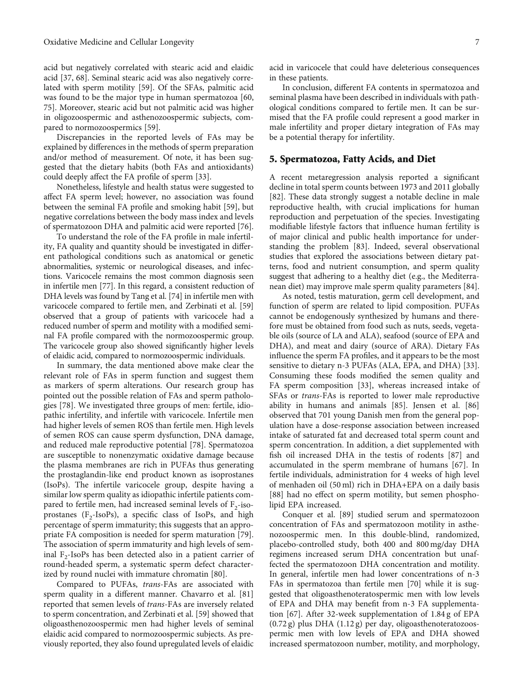acid but negatively correlated with stearic acid and elaidic acid [[37](#page-10-0), [68\]](#page-11-0). Seminal stearic acid was also negatively correlated with sperm motility [\[59\]](#page-11-0). Of the SFAs, palmitic acid was found to be the major type in human spermatozoa [\[60,](#page-11-0) [75\]](#page-11-0). Moreover, stearic acid but not palmitic acid was higher in oligozoospermic and asthenozoospermic subjects, compared to normozoospermics [[59](#page-11-0)].

Discrepancies in the reported levels of FAs may be explained by differences in the methods of sperm preparation and/or method of measurement. Of note, it has been suggested that the dietary habits (both FAs and antioxidants) could deeply affect the FA profile of sperm [\[33](#page-10-0)].

Nonetheless, lifestyle and health status were suggested to affect FA sperm level; however, no association was found between the seminal FA profile and smoking habit [[59](#page-11-0)], but negative correlations between the body mass index and levels of spermatozoon DHA and palmitic acid were reported [[76](#page-12-0)].

To understand the role of the FA profile in male infertility, FA quality and quantity should be investigated in different pathological conditions such as anatomical or genetic abnormalities, systemic or neurological diseases, and infections. Varicocele remains the most common diagnosis seen in infertile men [\[77\]](#page-12-0). In this regard, a consistent reduction of DHA levels was found by Tang et al. [[74\]](#page-11-0) in infertile men with varicocele compared to fertile men, and Zerbinati et al. [\[59\]](#page-11-0) observed that a group of patients with varicocele had a reduced number of sperm and motility with a modified seminal FA profile compared with the normozoospermic group. The varicocele group also showed significantly higher levels of elaidic acid, compared to normozoospermic individuals.

In summary, the data mentioned above make clear the relevant role of FAs in sperm function and suggest them as markers of sperm alterations. Our research group has pointed out the possible relation of FAs and sperm pathologies [\[78\]](#page-12-0). We investigated three groups of men: fertile, idiopathic infertility, and infertile with varicocele. Infertile men had higher levels of semen ROS than fertile men. High levels of semen ROS can cause sperm dysfunction, DNA damage, and reduced male reproductive potential [[78](#page-12-0)]. Spermatozoa are susceptible to nonenzymatic oxidative damage because the plasma membranes are rich in PUFAs thus generating the prostaglandin-like end product known as isoprostanes (IsoPs). The infertile varicocele group, despite having a similar low sperm quality as idiopathic infertile patients compared to fertile men, had increased seminal levels of  $F_2$ -isoprostanes  $(F_2$ -IsoPs), a specific class of IsoPs, and high percentage of sperm immaturity; this suggests that an appropriate FA composition is needed for sperm maturation [[79](#page-12-0)]. The association of sperm immaturity and high levels of seminal  $F<sub>2</sub>$ -IsoPs has been detected also in a patient carrier of round-headed sperm, a systematic sperm defect characterized by round nuclei with immature chromatin [\[80](#page-12-0)].

Compared to PUFAs, trans-FAs are associated with sperm quality in a different manner. Chavarro et al. [[81\]](#page-12-0) reported that semen levels of trans-FAs are inversely related to sperm concentration, and Zerbinati et al. [[59](#page-11-0)] showed that oligoasthenozoospermic men had higher levels of seminal elaidic acid compared to normozoospermic subjects. As previously reported, they also found upregulated levels of elaidic acid in varicocele that could have deleterious consequences in these patients.

In conclusion, different FA contents in spermatozoa and seminal plasma have been described in individuals with pathological conditions compared to fertile men. It can be surmised that the FA profile could represent a good marker in male infertility and proper dietary integration of FAs may be a potential therapy for infertility.

#### 5. Spermatozoa, Fatty Acids, and Diet

A recent metaregression analysis reported a significant decline in total sperm counts between 1973 and 2011 globally [\[82\]](#page-12-0). These data strongly suggest a notable decline in male reproductive health, with crucial implications for human reproduction and perpetuation of the species. Investigating modifiable lifestyle factors that influence human fertility is of major clinical and public health importance for understanding the problem [[83](#page-12-0)]. Indeed, several observational studies that explored the associations between dietary patterns, food and nutrient consumption, and sperm quality suggest that adhering to a healthy diet (e.g., the Mediterranean diet) may improve male sperm quality parameters [[84](#page-12-0)].

As noted, testis maturation, germ cell development, and function of sperm are related to lipid composition. PUFAs cannot be endogenously synthesized by humans and therefore must be obtained from food such as nuts, seeds, vegetable oils (source of LA and ALA), seafood (source of EPA and DHA), and meat and dairy (source of ARA). Dietary FAs influence the sperm FA profiles, and it appears to be the most sensitive to dietary n-3 PUFAs (ALA, EPA, and DHA) [[33](#page-10-0)]. Consuming these foods modified the semen quality and FA sperm composition [[33](#page-10-0)], whereas increased intake of SFAs or trans-FAs is reported to lower male reproductive ability in humans and animals [[85](#page-12-0)]. Jensen et al. [[86\]](#page-12-0) observed that 701 young Danish men from the general population have a dose-response association between increased intake of saturated fat and decreased total sperm count and sperm concentration. In addition, a diet supplemented with fish oil increased DHA in the testis of rodents [\[87\]](#page-12-0) and accumulated in the sperm membrane of humans [[67](#page-11-0)]. In fertile individuals, administration for 4 weeks of high level of menhaden oil (50 ml) rich in DHA+EPA on a daily basis [\[88\]](#page-12-0) had no effect on sperm motility, but semen phospholipid EPA increased.

Conquer et al. [[89](#page-12-0)] studied serum and spermatozoon concentration of FAs and spermatozoon motility in asthenozoospermic men. In this double-blind, randomized, placebo-controlled study, both 400 and 800 mg/day DHA regimens increased serum DHA concentration but unaffected the spermatozoon DHA concentration and motility. In general, infertile men had lower concentrations of n-3 FAs in spermatozoa than fertile men [\[70\]](#page-11-0) while it is suggested that oligoasthenoteratospermic men with low levels of EPA and DHA may benefit from n-3 FA supplementation [\[67\]](#page-11-0). After 32-week supplementation of 1.84 g of EPA (0.72 g) plus DHA (1.12 g) per day, oligoasthenoteratozoospermic men with low levels of EPA and DHA showed increased spermatozoon number, motility, and morphology,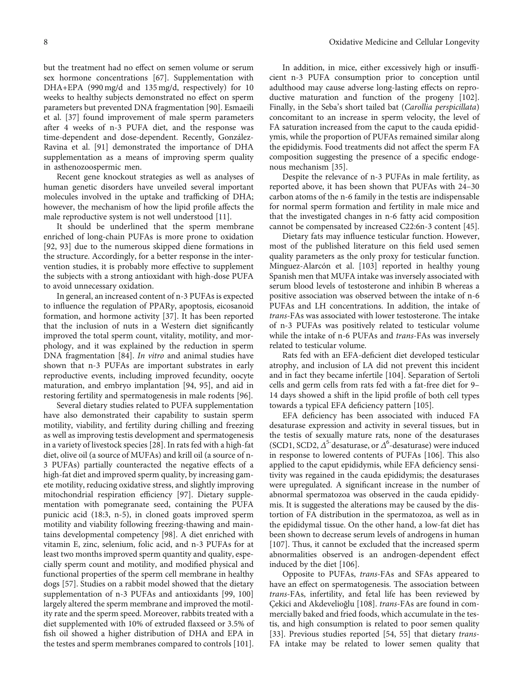but the treatment had no effect on semen volume or serum sex hormone concentrations [[67](#page-11-0)]. Supplementation with DHA+EPA (990 mg/d and 135 mg/d, respectively) for 10 weeks to healthy subjects demonstrated no effect on sperm parameters but prevented DNA fragmentation [[90\]](#page-12-0). Esmaeili et al. [\[37\]](#page-10-0) found improvement of male sperm parameters after 4 weeks of n-3 PUFA diet, and the response was time-dependent and dose-dependent. Recently, González-Ravina et al. [\[91\]](#page-12-0) demonstrated the importance of DHA supplementation as a means of improving sperm quality in asthenozoospermic men.

Recent gene knockout strategies as well as analyses of human genetic disorders have unveiled several important molecules involved in the uptake and trafficking of DHA; however, the mechanism of how the lipid profile affects the male reproductive system is not well understood [[11](#page-9-0)].

It should be underlined that the sperm membrane enriched of long-chain PUFAs is more prone to oxidation [\[92](#page-12-0), [93](#page-12-0)] due to the numerous skipped diene formations in the structure. Accordingly, for a better response in the intervention studies, it is probably more effective to supplement the subjects with a strong antioxidant with high-dose PUFA to avoid unnecessary oxidation.

In general, an increased content of n-3 PUFAs is expected to influence the regulation of PPAR*γ*, apoptosis, eicosanoid formation, and hormone activity [[37](#page-10-0)]. It has been reported that the inclusion of nuts in a Western diet significantly improved the total sperm count, vitality, motility, and morphology, and it was explained by the reduction in sperm DNA fragmentation [[84](#page-12-0)]. In vitro and animal studies have shown that n-3 PUFAs are important substrates in early reproductive events, including improved fecundity, oocyte maturation, and embryo implantation [\[94, 95\]](#page-12-0), and aid in restoring fertility and spermatogenesis in male rodents [[96\]](#page-12-0).

Several dietary studies related to PUFA supplementation have also demonstrated their capability to sustain sperm motility, viability, and fertility during chilling and freezing as well as improving testis development and spermatogenesis in a variety of livestock species [[28](#page-10-0)]. In rats fed with a high-fat diet, olive oil (a source of MUFAs) and krill oil (a source of n-3 PUFAs) partially counteracted the negative effects of a high-fat diet and improved sperm quality, by increasing gamete motility, reducing oxidative stress, and slightly improving mitochondrial respiration efficiency [\[97\]](#page-12-0). Dietary supplementation with pomegranate seed, containing the PUFA punicic acid (18:3, n-5), in cloned goats improved sperm motility and viability following freezing-thawing and maintains developmental competency [[98](#page-12-0)]. A diet enriched with vitamin E, zinc, selenium, folic acid, and n-3 PUFAs for at least two months improved sperm quantity and quality, especially sperm count and motility, and modified physical and functional properties of the sperm cell membrane in healthy dogs [\[57](#page-11-0)]. Studies on a rabbit model showed that the dietary supplementation of n-3 PUFAs and antioxidants [[99](#page-12-0), [100\]](#page-12-0) largely altered the sperm membrane and improved the motility rate and the sperm speed. Moreover, rabbits treated with a diet supplemented with 10% of extruded flaxseed or 3.5% of fish oil showed a higher distribution of DHA and EPA in the testes and sperm membranes compared to controls [[101](#page-12-0)].

In addition, in mice, either excessively high or insufficient n-3 PUFA consumption prior to conception until adulthood may cause adverse long-lasting effects on reproductive maturation and function of the progeny [[102](#page-12-0)]. Finally, in the Seba's short tailed bat (Carollia perspicillata) concomitant to an increase in sperm velocity, the level of FA saturation increased from the caput to the cauda epididymis, while the proportion of PUFAs remained similar along the epididymis. Food treatments did not affect the sperm FA composition suggesting the presence of a specific endogenous mechanism [[35](#page-10-0)].

Despite the relevance of n-3 PUFAs in male fertility, as reported above, it has been shown that PUFAs with 24–30 carbon atoms of the n-6 family in the testis are indispensable for normal sperm formation and fertility in male mice and that the investigated changes in n-6 fatty acid composition cannot be compensated by increased C22:6n-3 content [[45](#page-10-0)].

Dietary fats may influence testicular function. However, most of the published literature on this field used semen quality parameters as the only proxy for testicular function. Minguez-Alarcón et al. [[103](#page-12-0)] reported in healthy young Spanish men that MUFA intake was inversely associated with serum blood levels of testosterone and inhibin B whereas a positive association was observed between the intake of n-6 PUFAs and LH concentrations. In addition, the intake of trans-FAs was associated with lower testosterone. The intake of n-3 PUFAs was positively related to testicular volume while the intake of n-6 PUFAs and trans-FAs was inversely related to testicular volume.

Rats fed with an EFA-deficient diet developed testicular atrophy, and inclusion of LA did not prevent this incident and in fact they became infertile [\[104\]](#page-13-0). Separation of Sertoli cells and germ cells from rats fed with a fat-free diet for 9– 14 days showed a shift in the lipid profile of both cell types towards a typical EFA deficiency pattern [[105](#page-13-0)].

EFA deficiency has been associated with induced FA desaturase expression and activity in several tissues, but in the testis of sexually mature rats, none of the desaturases (SCD1, SCD2, *Δ*5-desaturase, or *Δ*<sup>6</sup> -desaturase) were induced in response to lowered contents of PUFAs [[106](#page-13-0)]. This also applied to the caput epididymis, while EFA deficiency sensitivity was regained in the cauda epididymis; the desaturases were upregulated. A significant increase in the number of abnormal spermatozoa was observed in the cauda epididymis. It is suggested the alterations may be caused by the distortion of FA distribution in the spermatozoa, as well as in the epididymal tissue. On the other hand, a low-fat diet has been shown to decrease serum levels of androgens in human [\[107\]](#page-13-0). Thus, it cannot be excluded that the increased sperm abnormalities observed is an androgen-dependent effect induced by the diet [\[106\]](#page-13-0).

Opposite to PUFAs, trans-FAs and SFAs appeared to have an effect on spermatogenesis. The association between trans-FAs, infertility, and fetal life has been reviewed by Çekici and Akdevelioğlu [[108\]](#page-13-0). trans-FAs are found in commercially baked and fried foods, which accumulate in the testis, and high consumption is related to poor semen quality [\[33](#page-10-0)]. Previous studies reported [[54](#page-11-0), [55\]](#page-11-0) that dietary trans-FA intake may be related to lower semen quality that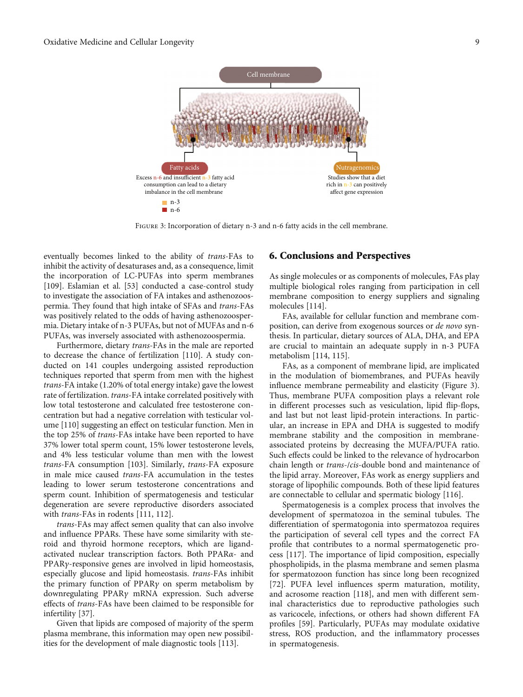

FIGURE 3: Incorporation of dietary n-3 and n-6 fatty acids in the cell membrane.

eventually becomes linked to the ability of trans-FAs to inhibit the activity of desaturases and, as a consequence, limit the incorporation of LC-PUFAs into sperm membranes [\[109\]](#page-13-0). Eslamian et al. [[53](#page-11-0)] conducted a case-control study to investigate the association of FA intakes and asthenozoospermia. They found that high intake of SFAs and trans-FAs was positively related to the odds of having asthenozoospermia. Dietary intake of n-3 PUFAs, but not of MUFAs and n-6 PUFAs, was inversely associated with asthenozoospermia.

Furthermore, dietary trans-FAs in the male are reported to decrease the chance of fertilization [[110\]](#page-13-0). A study conducted on 141 couples undergoing assisted reproduction techniques reported that sperm from men with the highest trans-FA intake (1.20% of total energy intake) gave the lowest rate of fertilization. trans-FA intake correlated positively with low total testosterone and calculated free testosterone concentration but had a negative correlation with testicular volume [\[110\]](#page-13-0) suggesting an effect on testicular function. Men in the top 25% of trans-FAs intake have been reported to have 37% lower total sperm count, 15% lower testosterone levels, and 4% less testicular volume than men with the lowest trans-FA consumption [[103](#page-12-0)]. Similarly, trans-FA exposure in male mice caused trans-FA accumulation in the testes leading to lower serum testosterone concentrations and sperm count. Inhibition of spermatogenesis and testicular degeneration are severe reproductive disorders associated with trans-FAs in rodents [[111, 112](#page-13-0)].

trans-FAs may affect semen quality that can also involve and influence PPARs. These have some similarity with steroid and thyroid hormone receptors, which are ligandactivated nuclear transcription factors. Both PPAR*α*- and PPAR*γ*-responsive genes are involved in lipid homeostasis, especially glucose and lipid homeostasis. trans-FAs inhibit the primary function of PPAR*γ* on sperm metabolism by downregulating PPAR*γ* mRNA expression. Such adverse effects of trans-FAs have been claimed to be responsible for infertility [\[37\]](#page-10-0).

Given that lipids are composed of majority of the sperm plasma membrane, this information may open new possibilities for the development of male diagnostic tools [[113](#page-13-0)].

#### 6. Conclusions and Perspectives

As single molecules or as components of molecules, FAs play multiple biological roles ranging from participation in cell membrane composition to energy suppliers and signaling molecules [[114](#page-13-0)].

FAs, available for cellular function and membrane composition, can derive from exogenous sources or de novo synthesis. In particular, dietary sources of ALA, DHA, and EPA are crucial to maintain an adequate supply in n-3 PUFA metabolism [[114](#page-13-0), [115](#page-13-0)].

FAs, as a component of membrane lipid, are implicated in the modulation of biomembranes, and PUFAs heavily influence membrane permeability and elasticity (Figure 3). Thus, membrane PUFA composition plays a relevant role in different processes such as vesiculation, lipid flip-flops, and last but not least lipid-protein interactions. In particular, an increase in EPA and DHA is suggested to modify membrane stability and the composition in membraneassociated proteins by decreasing the MUFA/PUFA ratio. Such effects could be linked to the relevance of hydrocarbon chain length or trans-/cis-double bond and maintenance of the lipid array. Moreover, FAs work as energy suppliers and storage of lipophilic compounds. Both of these lipid features are connectable to cellular and spermatic biology [\[116\]](#page-13-0).

Spermatogenesis is a complex process that involves the development of spermatozoa in the seminal tubules. The differentiation of spermatogonia into spermatozoa requires the participation of several cell types and the correct FA profile that contributes to a normal spermatogenetic process [[117\]](#page-13-0). The importance of lipid composition, especially phospholipids, in the plasma membrane and semen plasma for spermatozoon function has since long been recognized [\[72](#page-11-0)]. PUFA level influences sperm maturation, motility, and acrosome reaction [[118\]](#page-13-0), and men with different seminal characteristics due to reproductive pathologies such as varicocele, infections, or others had shown different FA profiles [\[59\]](#page-11-0). Particularly, PUFAs may modulate oxidative stress, ROS production, and the inflammatory processes in spermatogenesis.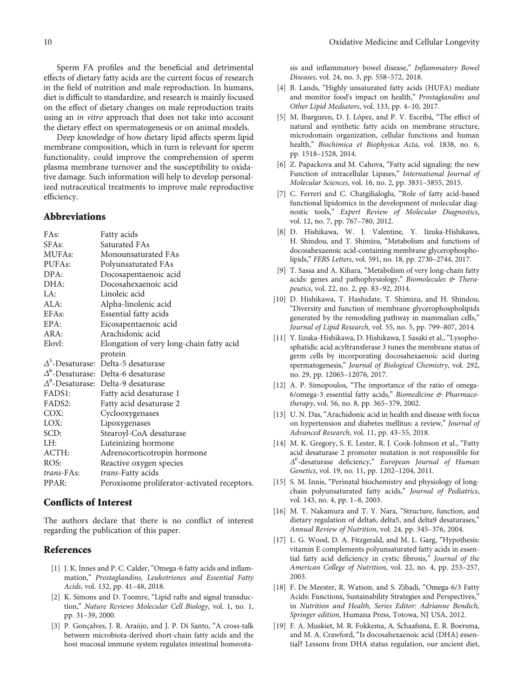<span id="page-9-0"></span>Sperm FA profiles and the beneficial and detrimental effects of dietary fatty acids are the current focus of research in the field of nutrition and male reproduction. In humans, diet is difficult to standardize, and research is mainly focused on the effect of dietary changes on male reproduction traits using an *in vitro* approach that does not take into account the dietary effect on spermatogenesis or on animal models.

Deep knowledge of how dietary lipid affects sperm lipid membrane composition, which in turn is relevant for sperm functionality, could improve the comprehension of sperm plasma membrane turnover and the susceptibility to oxidative damage. Such information will help to develop personalized nutraceutical treatments to improve male reproductive efficiency.

#### Abbreviations

| FAs:                | Fatty acids                                  |
|---------------------|----------------------------------------------|
| SFA <sub>s</sub> :  | Saturated FAs                                |
| MUFA <sub>s</sub> : | Monounsaturated FAs                          |
| PUFA <sub>s</sub> : | Polyunsaturated FAs                          |
| DPA:                | Docosapentaenoic acid                        |
| DHA:                | Docosahexaenoic acid                         |
| $L A$ :             | Linoleic acid                                |
| AI.A:               | Alpha-linolenic acid                         |
| EFA <sub>s</sub> :  | Essential fatty acids                        |
| EPA:                | Eicosapentaenoic acid                        |
| ARA:                | Arachidonic acid                             |
| Elov <sub>l</sub> : | Elongation of very long-chain fatty acid     |
|                     | protein                                      |
|                     | $\Delta^5$ -Desaturase: Delta-5 desaturase   |
|                     | $\Delta^6$ -Desaturase: Delta-6 desaturase   |
|                     | $\Delta^9$ -Desaturase: Delta-9 desaturase   |
| FADS <sub>1</sub> : | Fatty acid desaturase 1                      |
| FADS2:              | Fatty acid desaturase 2                      |
| COX:                | Cyclooxygenases                              |
| LOX:                | Lipoxygenases                                |
| SCD:                | Stearoyl-CoA desaturase                      |
| LH:                 | Luteinizing hormone                          |
| ACTH:               | Adrenocorticotropin hormone                  |
| ROS:                | Reactive oxygen species                      |
| trans-FAs:          | <i>trans-Fatty acids</i>                     |
| PPAR:               | Peroxisome proliferator-activated receptors. |
|                     |                                              |

#### Conflicts of Interest

The authors declare that there is no conflict of interest regarding the publication of this paper.

## References

- [1] J. K. Innes and P. C. Calder, "Omega-6 fatty acids and inflammation," Prostaglandins, Leukotrienes and Essential Fatty Acids, vol. 132, pp. 41–48, 2018.
- [2] K. Simons and D. Toomre, "Lipid rafts and signal transduction," Nature Reviews Molecular Cell Biology, vol. 1, no. 1, pp. 31–39, 2000.
- [3] P. Gonçalves, J. R. Araújo, and J. P. Di Santo, "A cross-talk between microbiota-derived short-chain fatty acids and the host mucosal immune system regulates intestinal homeosta-

sis and inflammatory bowel disease," Inflammatory Bowel Diseases, vol. 24, no. 3, pp. 558–572, 2018.

- [4] B. Lands, "Highly unsaturated fatty acids (HUFA) mediate and monitor food's impact on health," Prostaglandins and Other Lipid Mediators, vol. 133, pp. 4–10, 2017.
- [5] M. Ibarguren, D. J. López, and P. V. Escribá, "The effect of natural and synthetic fatty acids on membrane structure, microdomain organization, cellular functions and human health," Biochimica et Biophysica Acta, vol. 1838, no. 6, pp. 1518–1528, 2014.
- [6] Z. Papackova and M. Cahova, "Fatty acid signaling: the new Function of intracellular Lipases," International Journal of Molecular Sciences, vol. 16, no. 2, pp. 3831–3855, 2015.
- [7] C. Ferreri and C. Chatgilialoglu, "Role of fatty acid-based functional lipidomics in the development of molecular diagnostic tools," Expert Review of Molecular Diagnostics, vol. 12, no. 7, pp. 767–780, 2012.
- [8] D. Hishikawa, W. J. Valentine, Y. Iizuka-Hishikawa, H. Shindou, and T. Shimizu, "Metabolism and functions of docosahexaenoic acid-containing membrane glycerophospholipids," FEBS Letters, vol. 591, no. 18, pp. 2730–2744, 2017.
- [9] T. Sassa and A. Kihara, "Metabolism of very long-chain fatty acids: genes and pathophysiology," Biomolecules & Therapeutics, vol. 22, no. 2, pp. 83–92, 2014.
- [10] D. Hishikawa, T. Hashidate, T. Shimizu, and H. Shindou, "Diversity and function of membrane glycerophospholipids generated by the remodeling pathway in mammalian cells," Journal of Lipid Research, vol. 55, no. 5, pp. 799–807, 2014.
- [11] Y. Iizuka-Hishikawa, D. Hishikawa, J. Sasaki et al., "Lysophosphatidic acid acyltransferase 3 tunes the membrane status of germ cells by incorporating docosahexaenoic acid during spermatogenesis," Journal of Biological Chemistry, vol. 292, no. 29, pp. 12065–12076, 2017.
- [12] A. P. Simopoulos, "The importance of the ratio of omega-6/omega-3 essential fatty acids," Biomedicine & Pharmacotherapy, vol. 56, no. 8, pp. 365–379, 2002.
- [13] U. N. Das, "Arachidonic acid in health and disease with focus on hypertension and diabetes mellitus: a review," Journal of Advanced Research, vol. 11, pp. 43–55, 2018.
- [14] M. K. Gregory, S. E. Lester, R. J. Cook-Johnson et al., "Fatty acid desaturase 2 promoter mutation is not responsible for *Δ*6 -desaturase deficiency," European Journal of Human Genetics, vol. 19, no. 11, pp. 1202–1204, 2011.
- [15] S. M. Innis, "Perinatal biochemistry and physiology of longchain polyunsaturated fatty acids," Journal of Pediatrics, vol. 143, no. 4, pp. 1–8, 2003.
- [16] M. T. Nakamura and T. Y. Nara, "Structure, function, and dietary regulation of delta6, delta5, and delta9 desaturases," Annual Review of Nutrition, vol. 24, pp. 345–376, 2004.
- [17] L. G. Wood, D. A. Fitzgerald, and M. L. Garg, "Hypothesis: vitamin E complements polyunsaturated fatty acids in essential fatty acid deficiency in cystic fibrosis," Journal of the American College of Nutrition, vol. 22, no. 4, pp. 253–257, 2003.
- [18] F. De Meester, R. Watson, and S. Zibadi, "Omega-6/3 Fatty Acids: Functions, Sustainability Strategies and Perspectives," in Nutrition and Health, Series Editor: Adrianne Bendich, Springer edition, Humana Press, Totowa, NJ USA, 2012.
- [19] F. A. Muskiet, M. R. Fokkema, A. Schaafsma, E. R. Boersma, and M. A. Crawford, "Is docosahexaenoic acid (DHA) essential? Lessons from DHA status regulation, our ancient diet,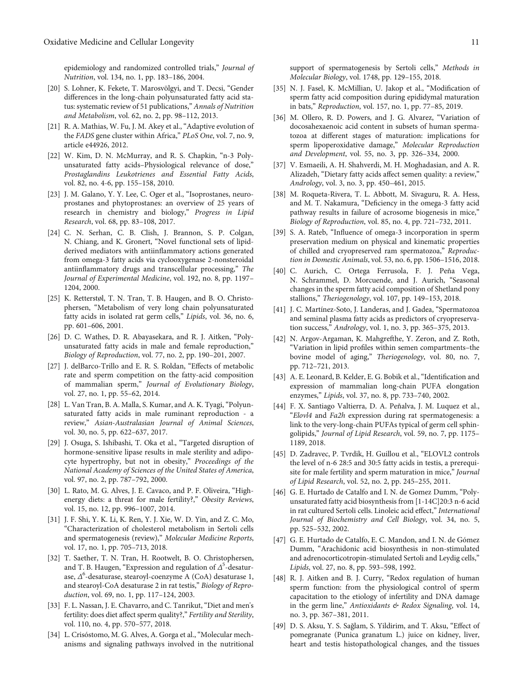<span id="page-10-0"></span>epidemiology and randomized controlled trials," Journal of Nutrition, vol. 134, no. 1, pp. 183–186, 2004.

- [20] S. Lohner, K. Fekete, T. Marosvölgyi, and T. Decsi, "Gender differences in the long-chain polyunsaturated fatty acid status: systematic review of 51 publications," Annals of Nutrition and Metabolism, vol. 62, no. 2, pp. 98–112, 2013.
- [21] R. A. Mathias, W. Fu, J. M. Akey et al., "Adaptive evolution of the FADS gene cluster within Africa," PLoS One, vol. 7, no. 9, article e44926, 2012.
- [22] W. Kim, D. N. McMurray, and R. S. Chapkin, "n-3 Polyunsaturated fatty acids–Physiological relevance of dose," Prostaglandins Leukotrienes and Essential Fatty Acids, vol. 82, no. 4-6, pp. 155–158, 2010.
- [23] J. M. Galano, Y. Y. Lee, C. Oger et al., "Isoprostanes, neuroprostanes and phytoprostanes: an overview of 25 years of research in chemistry and biology," Progress in Lipid Research, vol. 68, pp. 83–108, 2017.
- [24] C. N. Serhan, C. B. Clish, J. Brannon, S. P. Colgan, N. Chiang, and K. Gronert, "Novel functional sets of lipidderived mediators with antiinflammatory actions generated from omega-3 fatty acids via cyclooxygenase 2-nonsteroidal antiinflammatory drugs and transcellular processing," The Journal of Experimental Medicine, vol. 192, no. 8, pp. 1197– 1204, 2000.
- [25] K. Retterstøl, T. N. Tran, T. B. Haugen, and B. O. Christophersen, "Metabolism of very long chain polyunsaturated fatty acids in isolated rat germ cells," *Lipids*, vol. 36, no. 6, pp. 601–606, 2001.
- [26] D. C. Wathes, D. R. Abayasekara, and R. J. Aitken, "Polyunsaturated fatty acids in male and female reproduction," Biology of Reproduction, vol. 77, no. 2, pp. 190–201, 2007.
- [27] J. delBarco-Trillo and E. R. S. Roldan, "Effects of metabolic rate and sperm competition on the fatty-acid composition of mammalian sperm," Journal of Evolutionary Biology, vol. 27, no. 1, pp. 55–62, 2014.
- [28] L. Van Tran, B. A. Malla, S. Kumar, and A. K. Tyagi, "Polyunsaturated fatty acids in male ruminant reproduction - a review," Asian-Australasian Journal of Animal Sciences, vol. 30, no. 5, pp. 622–637, 2017.
- [29] J. Osuga, S. Ishibashi, T. Oka et al., "Targeted disruption of hormone-sensitive lipase results in male sterility and adipocyte hypertrophy, but not in obesity," Proceedings of the National Academy of Sciences of the United States of America, vol. 97, no. 2, pp. 787–792, 2000.
- [30] L. Rato, M. G. Alves, J. E. Cavaco, and P. F. Oliveira, "Highenergy diets: a threat for male fertility?," Obesity Reviews, vol. 15, no. 12, pp. 996–1007, 2014.
- [31] J. F. Shi, Y. K. Li, K. Ren, Y. J. Xie, W. D. Yin, and Z. C. Mo, "Characterization of cholesterol metabolism in Sertoli cells and spermatogenesis (review)," Molecular Medicine Reports, vol. 17, no. 1, pp. 705–713, 2018.
- [32] T. Saether, T. N. Tran, H. Rootwelt, B. O. Christophersen, and T. B. Haugen, "Expression and regulation of *Δ*<sup>5</sup> -desaturase, *Δ*<sup>6</sup> -desaturase, stearoyl-coenzyme A (CoA) desaturase 1, and stearoyl-CoA desaturase 2 in rat testis," Biology of Reproduction, vol. 69, no. 1, pp. 117–124, 2003.
- [33] F. L. Nassan, J. E. Chavarro, and C. Tanrikut, "Diet and men's fertility: does diet affect sperm quality?," Fertility and Sterility, vol. 110, no. 4, pp. 570–577, 2018.
- [34] L. Crisóstomo, M. G. Alves, A. Gorga et al.,"Molecular mechanisms and signaling pathways involved in the nutritional

support of spermatogenesis by Sertoli cells," Methods in Molecular Biology, vol. 1748, pp. 129–155, 2018.

- [35] N. J. Fasel, K. McMillian, U. Jakop et al., "Modification of sperm fatty acid composition during epididymal maturation in bats," Reproduction, vol. 157, no. 1, pp. 77–85, 2019.
- [36] M. Ollero, R. D. Powers, and J. G. Alvarez, "Variation of docosahexaenoic acid content in subsets of human spermatozoa at different stages of maturation: implications for sperm lipoperoxidative damage," Molecular Reproduction and Development, vol. 55, no. 3, pp. 326–334, 2000.
- [37] V. Esmaeili, A. H. Shahverdi, M. H. Moghadasian, and A. R. Alizadeh, "Dietary fatty acids affect semen quality: a review," Andrology, vol. 3, no. 3, pp. 450–461, 2015.
- [38] M. Roqueta-Rivera, T. L. Abbott, M. Sivaguru, R. A. Hess, and M. T. Nakamura, "Deficiency in the omega-3 fatty acid pathway results in failure of acrosome biogenesis in mice," Biology of Reproduction, vol. 85, no. 4, pp. 721–732, 2011.
- [39] S. A. Rateb, "Influence of omega-3 incorporation in sperm preservation medium on physical and kinematic properties of chilled and cryopreserved ram spermatozoa," Reproduction in Domestic Animals, vol. 53, no. 6, pp. 1506–1516, 2018.
- [40] C. Aurich, C. Ortega Ferrusola, F. J. Peña Vega, N. Schrammel, D. Morcuende, and J. Aurich, "Seasonal changes in the sperm fatty acid composition of Shetland pony stallions," Theriogenology, vol. 107, pp. 149–153, 2018.
- [41] J. C. Martínez-Soto, J. Landeras, and J. Gadea, "Spermatozoa and seminal plasma fatty acids as predictors of cryopreservation success," Andrology, vol. 1, no. 3, pp. 365–375, 2013.
- [42] N. Argov-Argaman, K. Mahgrefthe, Y. Zeron, and Z. Roth, "Variation in lipid profiles within semen compartments–the bovine model of aging," Theriogenology, vol. 80, no. 7, pp. 712–721, 2013.
- [43] A. E. Leonard, B. Kelder, E. G. Bobik et al., "Identification and expression of mammalian long-chain PUFA elongation enzymes," Lipids, vol. 37, no. 8, pp. 733–740, 2002.
- [44] F. X. Santiago Valtierra, D. A. Peñalva, J. M. Luquez et al., "Elovl4 and Fa2h expression during rat spermatogenesis: a link to the very-long-chain PUFAs typical of germ cell sphingolipids," Journal of Lipid Research, vol. 59, no. 7, pp. 1175– 1189, 2018.
- [45] D. Zadravec, P. Tvrdik, H. Guillou et al., "ELOVL2 controls the level of n-6 28:5 and 30:5 fatty acids in testis, a prerequisite for male fertility and sperm maturation in mice," Journal of Lipid Research, vol. 52, no. 2, pp. 245–255, 2011.
- [46] G. E. Hurtado de Catalfo and I. N. de Gomez Dumm, "Polyunsaturated fatty acid biosynthesis from [1-14C]20:3 n-6 acid in rat cultured Sertoli cells. Linoleic acid effect," International Journal of Biochemistry and Cell Biology, vol. 34, no. 5, pp. 525–532, 2002.
- [47] G. E. Hurtado de Catalfo, E. C. Mandon, and I. N. de Gómez Dumm, "Arachidonic acid biosynthesis in non-stimulated and adrenocorticotropin-stimulated Sertoli and Leydig cells," Lipids, vol. 27, no. 8, pp. 593–598, 1992.
- [48] R. J. Aitken and B. J. Curry, "Redox regulation of human sperm function: from the physiological control of sperm capacitation to the etiology of infertility and DNA damage in the germ line," Antioxidants & Redox Signaling, vol. 14, no. 3, pp. 367–381, 2011.
- [49] D. S. Aksu, Y. S. Sağlam, S. Yildirim, and T. Aksu, "Effect of pomegranate (Punica granatum L.) juice on kidney, liver, heart and testis histopathological changes, and the tissues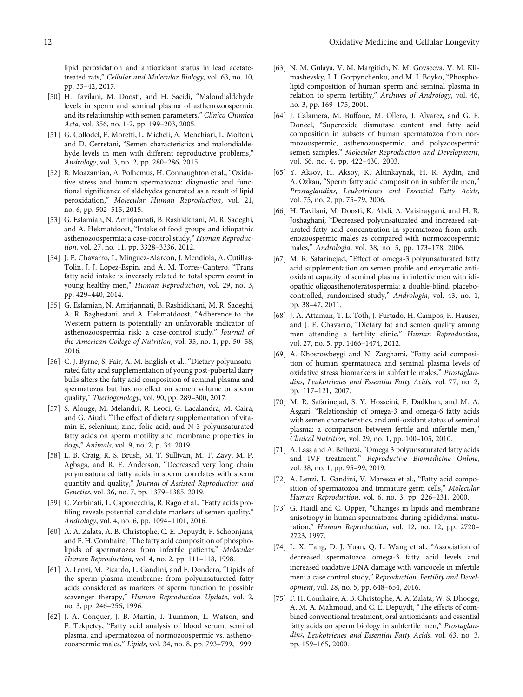<span id="page-11-0"></span>lipid peroxidation and antioxidant status in lead acetatetreated rats," Cellular and Molecular Biology, vol. 63, no. 10, pp. 33–42, 2017.

- [50] H. Tavilani, M. Doosti, and H. Saeidi, "Malondialdehyde levels in sperm and seminal plasma of asthenozoospermic and its relationship with semen parameters," Clinica Chimica Acta, vol. 356, no. 1-2, pp. 199–203, 2005.
- [51] G. Collodel, E. Moretti, L. Micheli, A. Menchiari, L. Moltoni, and D. Cerretani, "Semen characteristics and malondialdehyde levels in men with different reproductive problems," Andrology, vol. 3, no. 2, pp. 280–286, 2015.
- [52] R. Moazamian, A. Polhemus, H. Connaughton et al., "Oxidative stress and human spermatozoa: diagnostic and functional significance of aldehydes generated as a result of lipid peroxidation," Molecular Human Reproduction, vol. 21, no. 6, pp. 502–515, 2015.
- [53] G. Eslamian, N. Amirjannati, B. Rashidkhani, M. R. Sadeghi, and A. Hekmatdoost, "Intake of food groups and idiopathic asthenozoospermia: a case-control study," Human Reproduction, vol. 27, no. 11, pp. 3328–3336, 2012.
- [54] J. E. Chavarro, L. Minguez-Alarcon, J. Mendiola, A. Cutillas-Tolin, J. J. Lopez-Espin, and A. M. Torres-Cantero, "Trans fatty acid intake is inversely related to total sperm count in young healthy men," Human Reproduction, vol. 29, no. 3, pp. 429–440, 2014.
- [55] G. Eslamian, N. Amirjannati, B. Rashidkhani, M. R. Sadeghi, A. R. Baghestani, and A. Hekmatdoost, "Adherence to the Western pattern is potentially an unfavorable indicator of asthenozoospermia risk: a case-control study," Journal of the American College of Nutrition, vol. 35, no. 1, pp. 50–58, 2016.
- [56] C. J. Byrne, S. Fair, A. M. English et al., "Dietary polyunsaturated fatty acid supplementation of young post-pubertal dairy bulls alters the fatty acid composition of seminal plasma and spermatozoa but has no effect on semen volume or sperm quality," Theriogenology, vol. 90, pp. 289–300, 2017.
- [57] S. Alonge, M. Melandri, R. Leoci, G. Lacalandra, M. Caira, and G. Aiudi, "The effect of dietary supplementation of vitamin E, selenium, zinc, folic acid, and N-3 polyunsaturated fatty acids on sperm motility and membrane properties in dogs," Animals, vol. 9, no. 2, p. 34, 2019.
- [58] L. B. Craig, R. S. Brush, M. T. Sullivan, M. T. Zavy, M. P. Agbaga, and R. E. Anderson, "Decreased very long chain polyunsaturated fatty acids in sperm correlates with sperm quantity and quality," Journal of Assisted Reproduction and Genetics, vol. 36, no. 7, pp. 1379–1385, 2019.
- [59] C. Zerbinati, L. Caponecchia, R. Rago et al., "Fatty acids profiling reveals potential candidate markers of semen quality," Andrology, vol. 4, no. 6, pp. 1094–1101, 2016.
- [60] A. A. Zalata, A. B. Christophe, C. E. Depuydt, F. Schoonjans, and F. H. Comhaire, "The fatty acid composition of phospholipids of spermatozoa from infertile patients," Molecular Human Reproduction, vol. 4, no. 2, pp. 111–118, 1998.
- [61] A. Lenzi, M. Picardo, L. Gandini, and F. Dondero, "Lipids of the sperm plasma membrane: from polyunsaturated fatty acids considered as markers of sperm function to possible scavenger therapy," Human Reproduction Update, vol. 2, no. 3, pp. 246–256, 1996.
- [62] J. A. Conquer, J. B. Martin, I. Tummon, L. Watson, and F. Tekpetey, "Fatty acid analysis of blood serum, seminal plasma, and spermatozoa of normozoospermic vs. asthenozoospermic males," Lipids, vol. 34, no. 8, pp. 793–799, 1999.
- [63] N. M. Gulaya, V. M. Margitich, N. M. Govseeva, V. M. Klimashevsky, I. I. Gorpynchenko, and M. I. Boyko, "Phospholipid composition of human sperm and seminal plasma in relation to sperm fertility," Archives of Andrology, vol. 46, no. 3, pp. 169–175, 2001.
- [64] J. Calamera, M. Buffone, M. Ollero, J. Alvarez, and G. F. Doncel, "Superoxide dismutase content and fatty acid composition in subsets of human spermatozoa from normozoospermic, asthenozoospermic, and polyzoospermic semen samples," Molecular Reproduction and Development, vol. 66, no. 4, pp. 422–430, 2003.
- [65] Y. Aksoy, H. Aksoy, K. Altinkaynak, H. R. Aydin, and A. Ozkan, "Sperm fatty acid composition in subfertile men," Prostaglandins, Leukotrienes and Essential Fatty Acids, vol. 75, no. 2, pp. 75–79, 2006.
- [66] H. Tavilani, M. Doosti, K. Abdi, A. Vaisiraygani, and H. R. Joshaghani, "Decreased polyunsaturated and increased saturated fatty acid concentration in spermatozoa from asthenozoospermic males as compared with normozoospermic males," Andrologia, vol. 38, no. 5, pp. 173–178, 2006.
- [67] M. R. Safarinejad, "Effect of omega-3 polyunsaturated fatty acid supplementation on semen profile and enzymatic antioxidant capacity of seminal plasma in infertile men with idiopathic oligoasthenoteratospermia: a double-blind, placebocontrolled, randomised study," Andrologia, vol. 43, no. 1, pp. 38–47, 2011.
- [68] J. A. Attaman, T. L. Toth, J. Furtado, H. Campos, R. Hauser, and J. E. Chavarro, "Dietary fat and semen quality among men attending a fertility clinic," Human Reproduction, vol. 27, no. 5, pp. 1466–1474, 2012.
- [69] A. Khosrowbeygi and N. Zarghami, "Fatty acid composition of human spermatozoa and seminal plasma levels of oxidative stress biomarkers in subfertile males," Prostaglandins, Leukotrienes and Essential Fatty Acids, vol. 77, no. 2, pp. 117–121, 2007.
- [70] M. R. Safarinejad, S. Y. Hosseini, F. Dadkhah, and M. A. Asgari, "Relationship of omega-3 and omega-6 fatty acids with semen characteristics, and anti-oxidant status of seminal plasma: a comparison between fertile and infertile men," Clinical Nutrition, vol. 29, no. 1, pp. 100–105, 2010.
- [71] A. Lass and A. Belluzzi, "Omega 3 polyunsaturated fatty acids and IVF treatment," Reproductive Biomedicine Online, vol. 38, no. 1, pp. 95–99, 2019.
- [72] A. Lenzi, L. Gandini, V. Maresca et al., "Fatty acid composition of spermatozoa and immature germ cells," Molecular Human Reproduction, vol. 6, no. 3, pp. 226–231, 2000.
- [73] G. Haidl and C. Opper, "Changes in lipids and membrane anisotropy in human spermatozoa during epididymal maturation," Human Reproduction, vol. 12, no. 12, pp. 2720– 2723, 1997.
- [74] L. X. Tang, D. J. Yuan, Q. L. Wang et al., "Association of decreased spermatozoa omega-3 fatty acid levels and increased oxidative DNA damage with varicocele in infertile men: a case control study," Reproduction, Fertility and Development, vol. 28, no. 5, pp. 648–654, 2016.
- [75] F. H. Comhaire, A. B. Christophe, A. A. Zalata, W. S. Dhooge, A. M. A. Mahmoud, and C. E. Depuydt, "The effects of combined conventional treatment, oral antioxidants and essential fatty acids on sperm biology in subfertile men," Prostaglandins, Leukotrienes and Essential Fatty Acids, vol. 63, no. 3, pp. 159–165, 2000.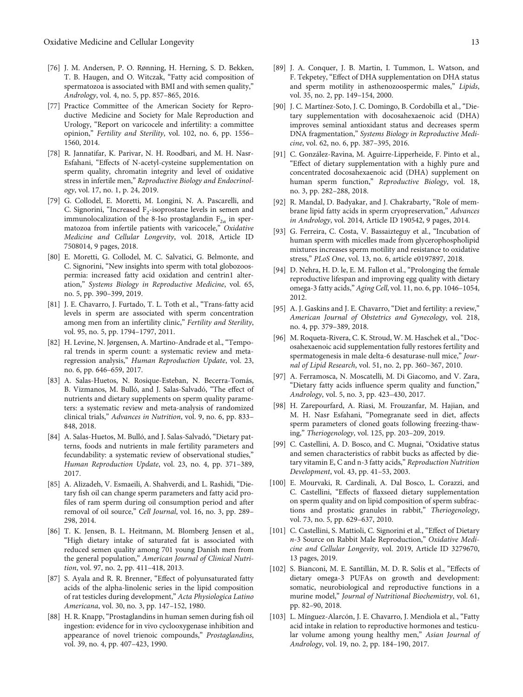- <span id="page-12-0"></span>[76] J. M. Andersen, P. O. Rønning, H. Herning, S. D. Bekken, T. B. Haugen, and O. Witczak, "Fatty acid composition of spermatozoa is associated with BMI and with semen quality," Andrology, vol. 4, no. 5, pp. 857–865, 2016.
- [77] Practice Committee of the American Society for Reproductive Medicine and Society for Male Reproduction and Urology, "Report on varicocele and infertility: a committee opinion," Fertility and Sterility, vol. 102, no. 6, pp. 1556– 1560, 2014.
- [78] R. Jannatifar, K. Parivar, N. H. Roodbari, and M. H. Nasr-Esfahani, "Effects of N-acetyl-cysteine supplementation on sperm quality, chromatin integrity and level of oxidative stress in infertile men," Reproductive Biology and Endocrinology, vol. 17, no. 1, p. 24, 2019.
- [79] G. Collodel, E. Moretti, M. Longini, N. A. Pascarelli, and C. Signorini, "Increased  $F_2$ -isoprostane levels in semen and immunolocalization of the 8-Iso prostaglandin  $F_{2\alpha}$  in spermatozoa from infertile patients with varicocele," Oxidative Medicine and Cellular Longevity, vol. 2018, Article ID 7508014, 9 pages, 2018.
- [80] E. Moretti, G. Collodel, M. C. Salvatici, G. Belmonte, and C. Signorini, "New insights into sperm with total globozoospermia: increased fatty acid oxidation and centrin1 alteration," Systems Biology in Reproductive Medicine, vol. 65, no. 5, pp. 390–399, 2019.
- [81] J. E. Chavarro, J. Furtado, T. L. Toth et al., "Trans-fatty acid levels in sperm are associated with sperm concentration among men from an infertility clinic," Fertility and Sterility, vol. 95, no. 5, pp. 1794–1797, 2011.
- [82] H. Levine, N. Jørgensen, A. Martino-Andrade et al., "Temporal trends in sperm count: a systematic review and metaregression analysis," Human Reproduction Update, vol. 23, no. 6, pp. 646–659, 2017.
- [83] A. Salas-Huetos, N. Rosique-Esteban, N. Becerra-Tomás, B. Vizmanos, M. Bulló, and J. Salas-Salvadó, "The effect of nutrients and dietary supplements on sperm quality parameters: a systematic review and meta-analysis of randomized clinical trials," Advances in Nutrition, vol. 9, no. 6, pp. 833– 848, 2018.
- [84] A. Salas-Huetos, M. Bulló, and J. Salas-Salvadó, "Dietary patterns, foods and nutrients in male fertility parameters and fecundability: a systematic review of observational studies," Human Reproduction Update, vol. 23, no. 4, pp. 371–389, 2017.
- [85] A. Alizadeh, V. Esmaeili, A. Shahverdi, and L. Rashidi, "Dietary fish oil can change sperm parameters and fatty acid profiles of ram sperm during oil consumption period and after removal of oil source," Cell Journal, vol. 16, no. 3, pp. 289– 298, 2014.
- [86] T. K. Jensen, B. L. Heitmann, M. Blomberg Jensen et al., "High dietary intake of saturated fat is associated with reduced semen quality among 701 young Danish men from the general population," American Journal of Clinical Nutrition, vol. 97, no. 2, pp. 411–418, 2013.
- [87] S. Ayala and R. R. Brenner, "Effect of polyunsaturated fatty acids of the alpha-linolenic series in the lipid composition of rat testicles during development," Acta Physiologica Latino Americana, vol. 30, no. 3, pp. 147–152, 1980.
- [88] H. R. Knapp, "Prostaglandins in human semen during fish oil ingestion: evidence for in vivo cyclooxygenase inhibition and appearance of novel trienoic compounds," Prostaglandins, vol. 39, no. 4, pp. 407–423, 1990.
- [89] J. A. Conquer, J. B. Martin, I. Tummon, L. Watson, and F. Tekpetey, "Effect of DHA supplementation on DHA status
- vol. 35, no. 2, pp. 149–154, 2000. [90] J. C. Martínez-Soto, J. C. Domingo, B. Cordobilla et al., "Dietary supplementation with docosahexaenoic acid (DHA) improves seminal antioxidant status and decreases sperm DNA fragmentation," Systems Biology in Reproductive Medicine, vol. 62, no. 6, pp. 387–395, 2016.

and sperm motility in asthenozoospermic males," Lipids,

- [91] C. González-Ravina, M. Aguirre-Lipperheide, F. Pinto et al., "Effect of dietary supplementation with a highly pure and concentrated docosahexaenoic acid (DHA) supplement on human sperm function," Reproductive Biology, vol. 18, no. 3, pp. 282–288, 2018.
- [92] R. Mandal, D. Badyakar, and J. Chakrabarty, "Role of membrane lipid fatty acids in sperm cryopreservation," Advances in Andrology, vol. 2014, Article ID 190542, 9 pages, 2014.
- [93] G. Ferreira, C. Costa, V. Bassaizteguy et al., "Incubation of human sperm with micelles made from glycerophospholipid mixtures increases sperm motility and resistance to oxidative stress," PLoS One, vol. 13, no. 6, article e0197897, 2018.
- [94] D. Nehra, H. D. le, E. M. Fallon et al., "Prolonging the female reproductive lifespan and improving egg quality with dietary omega-3 fatty acids," Aging Cell, vol. 11, no. 6, pp. 1046–1054, 2012.
- [95] A. J. Gaskins and J. E. Chavarro, "Diet and fertility: a review," American Journal of Obstetrics and Gynecology, vol. 218, no. 4, pp. 379–389, 2018.
- [96] M. Roqueta-Rivera, C. K. Stroud, W. M. Haschek et al., "Docosahexaenoic acid supplementation fully restores fertility and spermatogenesis in male delta-6 desaturase-null mice," Journal of Lipid Research, vol. 51, no. 2, pp. 360–367, 2010.
- [97] A. Ferramosca, N. Moscatelli, M. Di Giacomo, and V. Zara, "Dietary fatty acids influence sperm quality and function," Andrology, vol. 5, no. 3, pp. 423–430, 2017.
- [98] H. Zarepourfard, A. Riasi, M. Frouzanfar, M. Hajian, and M. H. Nasr Esfahani, "Pomegranate seed in diet, affects sperm parameters of cloned goats following freezing-thawing," Theriogenology, vol. 125, pp. 203–209, 2019.
- [99] C. Castellini, A. D. Bosco, and C. Mugnai, "Oxidative status and semen characteristics of rabbit bucks as affected by dietary vitamin E, C and n-3 fatty acids," Reproduction Nutrition Development, vol. 43, pp. 41–53, 2003.
- [100] E. Mourvaki, R. Cardinali, A. Dal Bosco, L. Corazzi, and C. Castellini, "Effects of flaxseed dietary supplementation on sperm quality and on lipid composition of sperm subfractions and prostatic granules in rabbit," Theriogenology, vol. 73, no. 5, pp. 629–637, 2010.
- [101] C. Castellini, S. Mattioli, C. Signorini et al., "Effect of Dietary n-3 Source on Rabbit Male Reproduction," Oxidative Medicine and Cellular Longevity, vol. 2019, Article ID 3279670, 13 pages, 2019.
- [102] S. Bianconi, M. E. Santillán, M. D. R. Solís et al., "Effects of dietary omega-3 PUFAs on growth and development: somatic, neurobiological and reproductive functions in a murine model," Journal of Nutritional Biochemistry, vol. 61, pp. 82–90, 2018.
- [103] L. Mínguez-Alarcón, J. E. Chavarro, J. Mendiola et al., "Fatty acid intake in relation to reproductive hormones and testicular volume among young healthy men," Asian Journal of Andrology, vol. 19, no. 2, pp. 184–190, 2017.